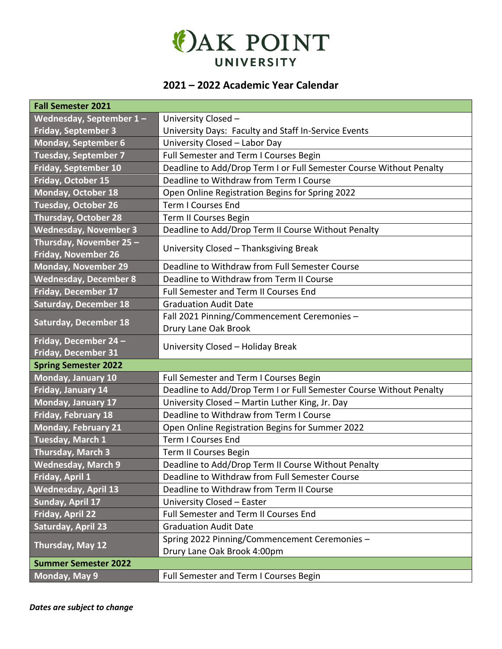

## **2021 – 2022 Academic Year Calendar**

| <b>Fall Semester 2021</b>                             |                                                                     |  |  |  |
|-------------------------------------------------------|---------------------------------------------------------------------|--|--|--|
| Wednesday, September $1 -$                            | University Closed -                                                 |  |  |  |
| <b>Friday, September 3</b>                            | University Days: Faculty and Staff In-Service Events                |  |  |  |
| <b>Monday, September 6</b>                            | University Closed - Labor Day                                       |  |  |  |
| <b>Tuesday, September 7</b>                           | Full Semester and Term I Courses Begin                              |  |  |  |
| <b>Friday, September 10</b>                           | Deadline to Add/Drop Term I or Full Semester Course Without Penalty |  |  |  |
| Friday, October 15                                    | Deadline to Withdraw from Term I Course                             |  |  |  |
| Monday, October 18                                    | Open Online Registration Begins for Spring 2022                     |  |  |  |
| <b>Tuesday, October 26</b>                            | <b>Term I Courses End</b>                                           |  |  |  |
| <b>Thursday, October 28</b>                           | Term II Courses Begin                                               |  |  |  |
| <b>Wednesday, November 3</b>                          | Deadline to Add/Drop Term II Course Without Penalty                 |  |  |  |
| Thursday, November 25 -<br><b>Friday, November 26</b> | University Closed - Thanksgiving Break                              |  |  |  |
| <b>Monday, November 29</b>                            | Deadline to Withdraw from Full Semester Course                      |  |  |  |
| <b>Wednesday, December 8</b>                          | Deadline to Withdraw from Term II Course                            |  |  |  |
| Friday, December 17                                   | Full Semester and Term II Courses End                               |  |  |  |
| <b>Saturday, December 18</b>                          | <b>Graduation Audit Date</b>                                        |  |  |  |
| <b>Saturday, December 18</b>                          | Fall 2021 Pinning/Commencement Ceremonies -                         |  |  |  |
|                                                       | Drury Lane Oak Brook                                                |  |  |  |
| Friday, December 24 -                                 | University Closed - Holiday Break                                   |  |  |  |
| <b>Friday, December 31</b>                            |                                                                     |  |  |  |
| <b>Spring Semester 2022</b>                           |                                                                     |  |  |  |
| Monday, January 10                                    | Full Semester and Term I Courses Begin                              |  |  |  |
| Friday, January 14                                    | Deadline to Add/Drop Term I or Full Semester Course Without Penalty |  |  |  |
| Monday, January 17                                    | University Closed - Martin Luther King, Jr. Day                     |  |  |  |
| Friday, February 18                                   | Deadline to Withdraw from Term I Course                             |  |  |  |
| <b>Monday, February 21</b>                            | Open Online Registration Begins for Summer 2022                     |  |  |  |
| Tuesday, March 1                                      | <b>Term I Courses End</b>                                           |  |  |  |
| Thursday, March 3                                     | Term II Courses Begin                                               |  |  |  |
| Wednesday, March 9                                    | Deadline to Add/Drop Term II Course Without Penalty                 |  |  |  |
| Friday, April 1                                       | Deadline to Withdraw from Full Semester Course                      |  |  |  |
| <b>Wednesday, April 13</b>                            | Deadline to Withdraw from Term II Course                            |  |  |  |
| Sunday, April 17                                      | University Closed - Easter                                          |  |  |  |
| <b>Friday, April 22</b>                               | Full Semester and Term II Courses End                               |  |  |  |
| <b>Saturday, April 23</b>                             | <b>Graduation Audit Date</b>                                        |  |  |  |
|                                                       | Spring 2022 Pinning/Commencement Ceremonies -                       |  |  |  |
| Thursday, May 12                                      | Drury Lane Oak Brook 4:00pm                                         |  |  |  |
| <b>Summer Semester 2022</b>                           |                                                                     |  |  |  |
| Monday, May 9                                         | Full Semester and Term I Courses Begin                              |  |  |  |